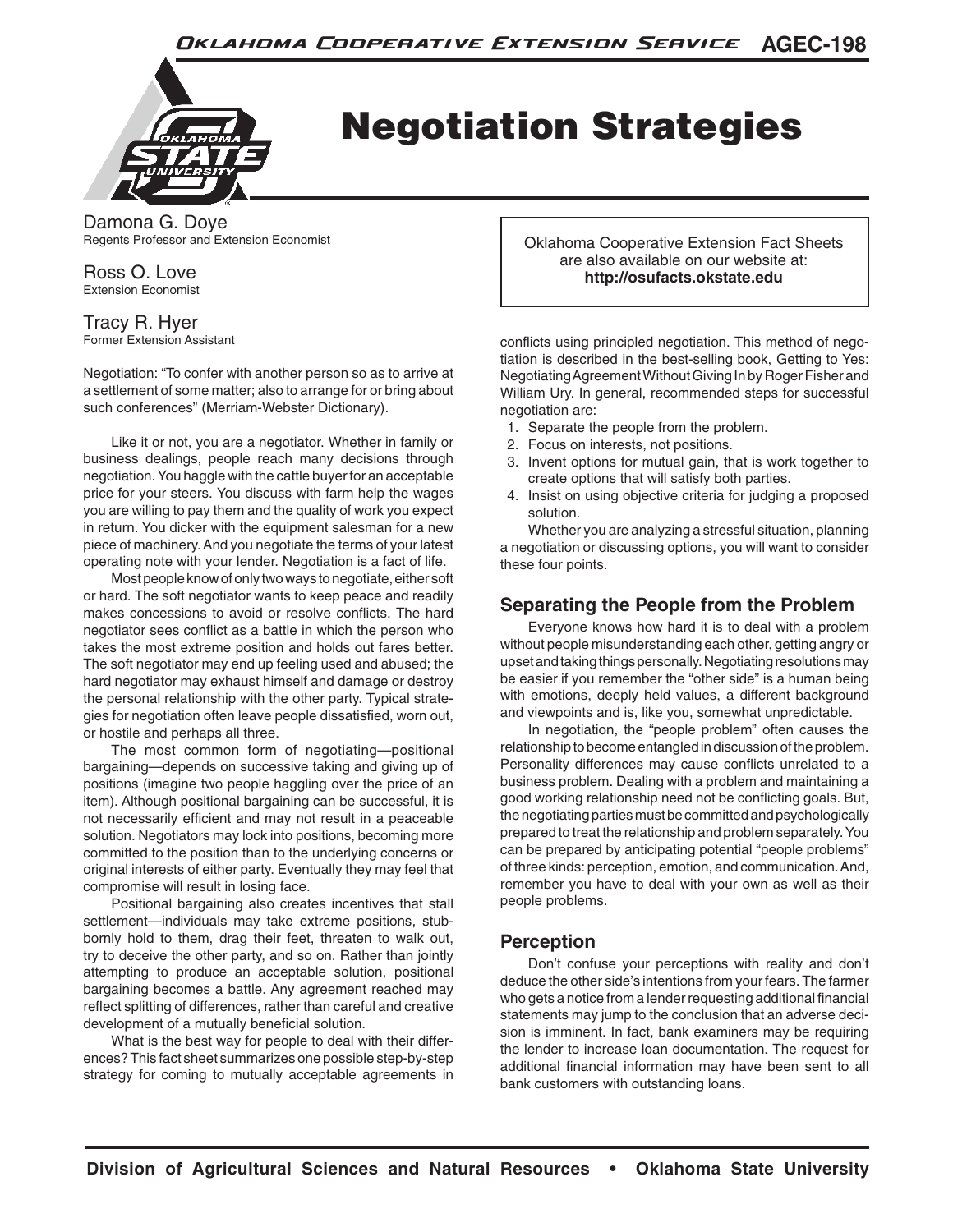

# Negotiation Strategies

Damona G. Doye Regents Professor and Extension Economist

Ross O. Love Extension Economist

Tracy R. Hyer Former Extension Assistant

Negotiation: "To confer with another person so as to arrive at a settlement of some matter; also to arrange for or bring about such conferences" (Merriam-Webster Dictionary).

Like it or not, you are a negotiator. Whether in family or business dealings, people reach many decisions through negotiation. You haggle with the cattle buyer for an acceptable price for your steers. You discuss with farm help the wages you are willing to pay them and the quality of work you expect in return. You dicker with the equipment salesman for a new piece of machinery. And you negotiate the terms of your latest operating note with your lender. Negotiation is a fact of life.

Most people know of only two ways to negotiate, either soft or hard. The soft negotiator wants to keep peace and readily makes concessions to avoid or resolve conflicts. The hard negotiator sees conflict as a battle in which the person who takes the most extreme position and holds out fares better. The soft negotiator may end up feeling used and abused; the hard negotiator may exhaust himself and damage or destroy the personal relationship with the other party. Typical strategies for negotiation often leave people dissatisfied, worn out, or hostile and perhaps all three.

The most common form of negotiating—positional bargaining—depends on successive taking and giving up of positions (imagine two people haggling over the price of an item). Although positional bargaining can be successful, it is not necessarily efficient and may not result in a peaceable solution. Negotiators may lock into positions, becoming more committed to the position than to the underlying concerns or original interests of either party. Eventually they may feel that compromise will result in losing face.

Positional bargaining also creates incentives that stall settlement—individuals may take extreme positions, stubbornly hold to them, drag their feet, threaten to walk out, try to deceive the other party, and so on. Rather than jointly attempting to produce an acceptable solution, positional bargaining becomes a battle. Any agreement reached may reflect splitting of differences, rather than careful and creative development of a mutually beneficial solution.

What is the best way for people to deal with their differences? This fact sheet summarizes one possible step-by-step strategy for coming to mutually acceptable agreements in

Oklahoma Cooperative Extension Fact Sheets are also available on our website at: **http://osufacts.okstate.edu**

conflicts using principled negotiation. This method of negotiation is described in the best-selling book, Getting to Yes: Negotiating Agreement Without Giving In by Roger Fisher and William Ury. In general, recommended steps for successful negotiation are:

- 1. Separate the people from the problem.
- 2. Focus on interests, not positions.
- 3. Invent options for mutual gain, that is work together to create options that will satisfy both parties.
- 4. Insist on using objective criteria for judging a proposed solution.

Whether you are analyzing a stressful situation, planning a negotiation or discussing options, you will want to consider these four points.

#### **Separating the People from the Problem**

Everyone knows how hard it is to deal with a problem without people misunderstanding each other, getting angry or upset and taking things personally. Negotiating resolutions may be easier if you remember the "other side" is a human being with emotions, deeply held values, a different background and viewpoints and is, like you, somewhat unpredictable.

In negotiation, the "people problem" often causes the relationship to become entangled in discussion of the problem. Personality differences may cause conflicts unrelated to a business problem. Dealing with a problem and maintaining a good working relationship need not be conflicting goals. But, the negotiating parties must be committed and psychologically prepared to treat the relationship and problem separately. You can be prepared by anticipating potential "people problems" of three kinds: perception, emotion, and communication. And, remember you have to deal with your own as well as their people problems.

#### **Perception**

Don't confuse your perceptions with reality and don't deduce the other side's intentions from your fears. The farmer who gets a notice from a lender requesting additional financial statements may jump to the conclusion that an adverse decision is imminent. In fact, bank examiners may be requiring the lender to increase loan documentation. The request for additional financial information may have been sent to all bank customers with outstanding loans.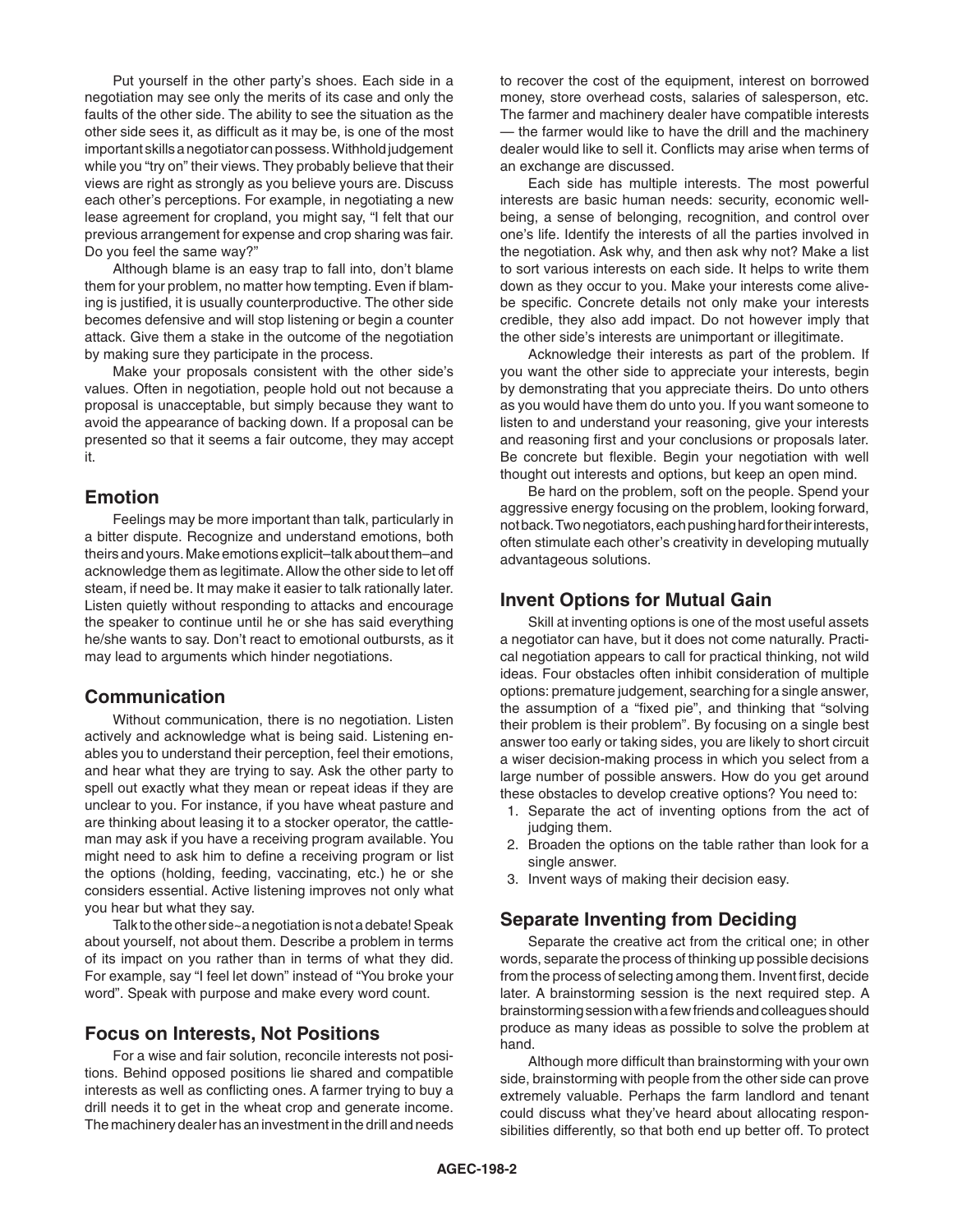Put yourself in the other party's shoes. Each side in a negotiation may see only the merits of its case and only the faults of the other side. The ability to see the situation as the other side sees it, as difficult as it may be, is one of the most important skills a negotiator can possess. Withhold judgement while you "try on" their views. They probably believe that their views are right as strongly as you believe yours are. Discuss each other's perceptions. For example, in negotiating a new lease agreement for cropland, you might say, "I felt that our previous arrangement for expense and crop sharing was fair. Do you feel the same way?"

Although blame is an easy trap to fall into, don't blame them for your problem, no matter how tempting. Even if blaming is justified, it is usually counterproductive. The other side becomes defensive and will stop listening or begin a counter attack. Give them a stake in the outcome of the negotiation by making sure they participate in the process.

Make your proposals consistent with the other side's values. Often in negotiation, people hold out not because a proposal is unacceptable, but simply because they want to avoid the appearance of backing down. If a proposal can be presented so that it seems a fair outcome, they may accept it.

#### **Emotion**

Feelings may be more important than talk, particularly in a bitter dispute. Recognize and understand emotions, both theirs and yours. Make emotions explicit–talk about them–and acknowledge them as legitimate. Allow the other side to let off steam, if need be. It may make it easier to talk rationally later. Listen quietly without responding to attacks and encourage the speaker to continue until he or she has said everything he/she wants to say. Don't react to emotional outbursts, as it may lead to arguments which hinder negotiations.

#### **Communication**

Without communication, there is no negotiation. Listen actively and acknowledge what is being said. Listening enables you to understand their perception, feel their emotions, and hear what they are trying to say. Ask the other party to spell out exactly what they mean or repeat ideas if they are unclear to you. For instance, if you have wheat pasture and are thinking about leasing it to a stocker operator, the cattleman may ask if you have a receiving program available. You might need to ask him to define a receiving program or list the options (holding, feeding, vaccinating, etc.) he or she considers essential. Active listening improves not only what you hear but what they say.

Talk to the other side~a negotiation is not a debate! Speak about yourself, not about them. Describe a problem in terms of its impact on you rather than in terms of what they did. For example, say "I feel let down" instead of "You broke your word". Speak with purpose and make every word count.

#### **Focus on Interests, Not Positions**

For a wise and fair solution, reconcile interests not positions. Behind opposed positions lie shared and compatible interests as well as conflicting ones. A farmer trying to buy a drill needs it to get in the wheat crop and generate income. The machinery dealer has an investment in the drill and needs to recover the cost of the equipment, interest on borrowed money, store overhead costs, salaries of salesperson, etc. The farmer and machinery dealer have compatible interests — the farmer would like to have the drill and the machinery dealer would like to sell it. Conflicts may arise when terms of an exchange are discussed.

Each side has multiple interests. The most powerful interests are basic human needs: security, economic wellbeing, a sense of belonging, recognition, and control over one's life. Identify the interests of all the parties involved in the negotiation. Ask why, and then ask why not? Make a list to sort various interests on each side. It helps to write them down as they occur to you. Make your interests come alivebe specific. Concrete details not only make your interests credible, they also add impact. Do not however imply that the other side's interests are unimportant or illegitimate.

Acknowledge their interests as part of the problem. If you want the other side to appreciate your interests, begin by demonstrating that you appreciate theirs. Do unto others as you would have them do unto you. If you want someone to listen to and understand your reasoning, give your interests and reasoning first and your conclusions or proposals later. Be concrete but flexible. Begin your negotiation with well thought out interests and options, but keep an open mind.

Be hard on the problem, soft on the people. Spend your aggressive energy focusing on the problem, looking forward, not back. Two negotiators, each pushing hard for their interests, often stimulate each other's creativity in developing mutually advantageous solutions.

#### **Invent Options for Mutual Gain**

Skill at inventing options is one of the most useful assets a negotiator can have, but it does not come naturally. Practical negotiation appears to call for practical thinking, not wild ideas. Four obstacles often inhibit consideration of multiple options: premature judgement, searching for a single answer, the assumption of a "fixed pie", and thinking that "solving their problem is their problem". By focusing on a single best answer too early or taking sides, you are likely to short circuit a wiser decision-making process in which you select from a large number of possible answers. How do you get around these obstacles to develop creative options? You need to:

- 1. Separate the act of inventing options from the act of judging them.
- 2. Broaden the options on the table rather than look for a single answer.
- 3. Invent ways of making their decision easy.

#### **Separate Inventing from Deciding**

Separate the creative act from the critical one; in other words, separate the process of thinking up possible decisions from the process of selecting among them. Invent first, decide later. A brainstorming session is the next required step. A brainstorming session with a few friends and colleagues should produce as many ideas as possible to solve the problem at hand.

Although more difficult than brainstorming with your own side, brainstorming with people from the other side can prove extremely valuable. Perhaps the farm landlord and tenant could discuss what they've heard about allocating responsibilities differently, so that both end up better off. To protect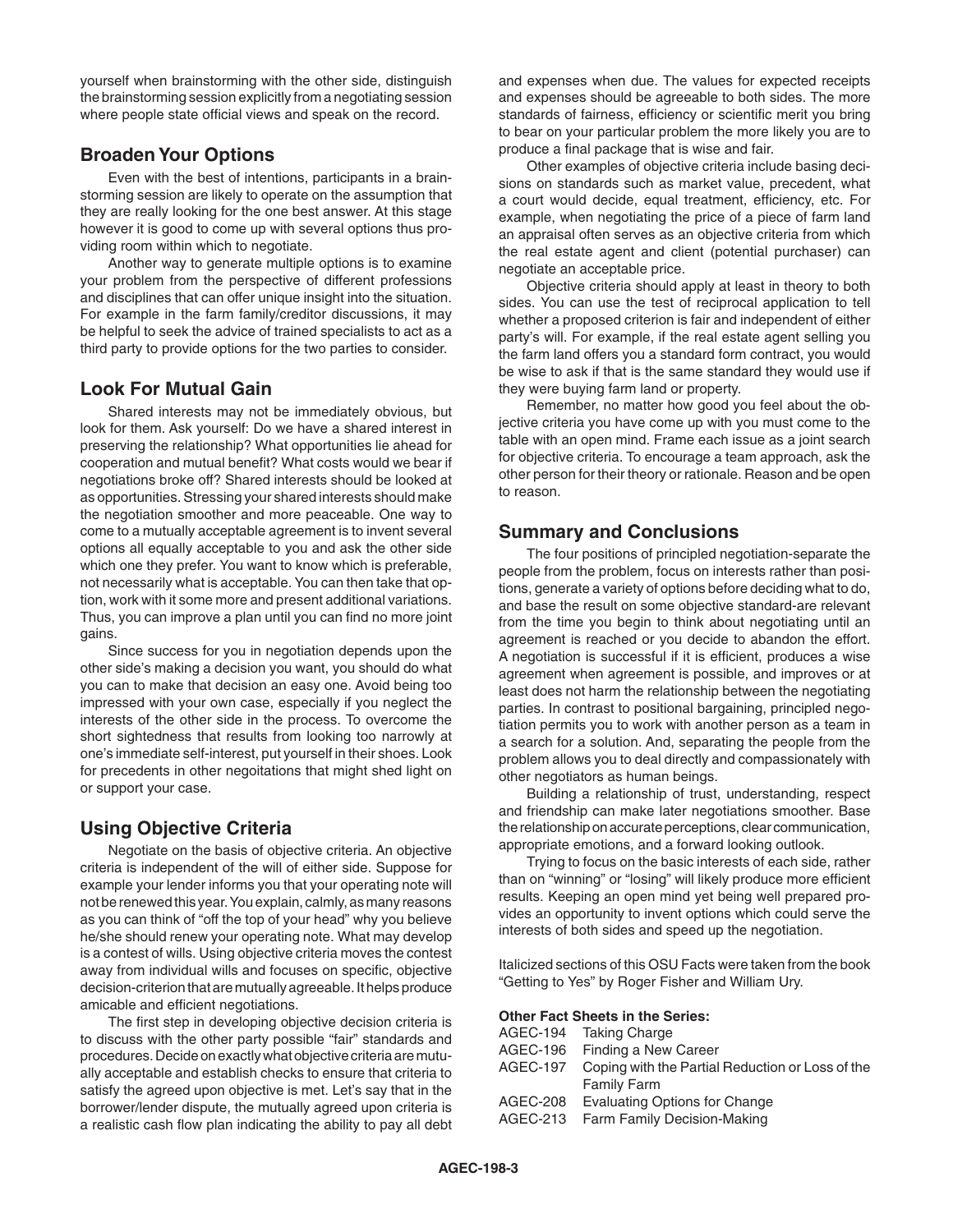yourself when brainstorming with the other side, distinguish the brainstorming session explicitly from a negotiating session where people state official views and speak on the record.

#### **Broaden Your Options**

Even with the best of intentions, participants in a brainstorming session are likely to operate on the assumption that they are really looking for the one best answer. At this stage however it is good to come up with several options thus providing room within which to negotiate.

Another way to generate multiple options is to examine your problem from the perspective of different professions and disciplines that can offer unique insight into the situation. For example in the farm family/creditor discussions, it may be helpful to seek the advice of trained specialists to act as a third party to provide options for the two parties to consider.

#### **Look For Mutual Gain**

Shared interests may not be immediately obvious, but look for them. Ask yourself: Do we have a shared interest in preserving the relationship? What opportunities lie ahead for cooperation and mutual benefit? What costs would we bear if negotiations broke off? Shared interests should be looked at as opportunities. Stressing your shared interests should make the negotiation smoother and more peaceable. One way to come to a mutually acceptable agreement is to invent several options all equally acceptable to you and ask the other side which one they prefer. You want to know which is preferable, not necessarily what is acceptable. You can then take that option, work with it some more and present additional variations. Thus, you can improve a plan until you can find no more joint gains.

Since success for you in negotiation depends upon the other side's making a decision you want, you should do what you can to make that decision an easy one. Avoid being too impressed with your own case, especially if you neglect the interests of the other side in the process. To overcome the short sightedness that results from looking too narrowly at one's immediate self-interest, put yourself in their shoes. Look for precedents in other negoitations that might shed light on or support your case.

### **Using Objective Criteria**

Negotiate on the basis of objective criteria. An objective criteria is independent of the will of either side. Suppose for example your lender informs you that your operating note will not be renewed this year. You explain, calmly, as many reasons as you can think of "off the top of your head" why you believe he/she should renew your operating note. What may develop is a contest of wills. Using objective criteria moves the contest away from individual wills and focuses on specific, objective decision-criterion that are mutually agreeable. It helps produce amicable and efficient negotiations.

The first step in developing objective decision criteria is to discuss with the other party possible "fair" standards and procedures. Decide on exactly what objective criteria are mutually acceptable and establish checks to ensure that criteria to satisfy the agreed upon objective is met. Let's say that in the borrower/lender dispute, the mutually agreed upon criteria is a realistic cash flow plan indicating the ability to pay all debt and expenses when due. The values for expected receipts and expenses should be agreeable to both sides. The more standards of fairness, efficiency or scientific merit you bring to bear on your particular problem the more likely you are to produce a final package that is wise and fair.

Other examples of objective criteria include basing decisions on standards such as market value, precedent, what a court would decide, equal treatment, efficiency, etc. For example, when negotiating the price of a piece of farm land an appraisal often serves as an objective criteria from which the real estate agent and client (potential purchaser) can negotiate an acceptable price.

Objective criteria should apply at least in theory to both sides. You can use the test of reciprocal application to tell whether a proposed criterion is fair and independent of either party's will. For example, if the real estate agent selling you the farm land offers you a standard form contract, you would be wise to ask if that is the same standard they would use if they were buying farm land or property.

Remember, no matter how good you feel about the objective criteria you have come up with you must come to the table with an open mind. Frame each issue as a joint search for objective criteria. To encourage a team approach, ask the other person for their theory or rationale. Reason and be open to reason.

#### **Summary and Conclusions**

The four positions of principled negotiation-separate the people from the problem, focus on interests rather than positions, generate a variety of options before deciding what to do, and base the result on some objective standard-are relevant from the time you begin to think about negotiating until an agreement is reached or you decide to abandon the effort. A negotiation is successful if it is efficient, produces a wise agreement when agreement is possible, and improves or at least does not harm the relationship between the negotiating parties. In contrast to positional bargaining, principled negotiation permits you to work with another person as a team in a search for a solution. And, separating the people from the problem allows you to deal directly and compassionately with other negotiators as human beings.

Building a relationship of trust, understanding, respect and friendship can make later negotiations smoother. Base the relationship on accurate perceptions, clear communication, appropriate emotions, and a forward looking outlook.

Trying to focus on the basic interests of each side, rather than on "winning" or "losing" will likely produce more efficient results. Keeping an open mind yet being well prepared provides an opportunity to invent options which could serve the interests of both sides and speed up the negotiation.

Italicized sections of this OSU Facts were taken from the book "Getting to Yes" by Roger Fisher and William Ury.

#### **Other Fact Sheets in the Series:**

| AGEC-194 Taking Charge                                    |
|-----------------------------------------------------------|
| Finding a New Career<br>AGEC-196                          |
| AGEC-197 Coping with the Partial Reduction or Loss of the |
| <b>Family Farm</b>                                        |
| AGEC-208 Evaluating Options for Change                    |
| AGEC-213 Farm Family Decision-Making                      |
|                                                           |